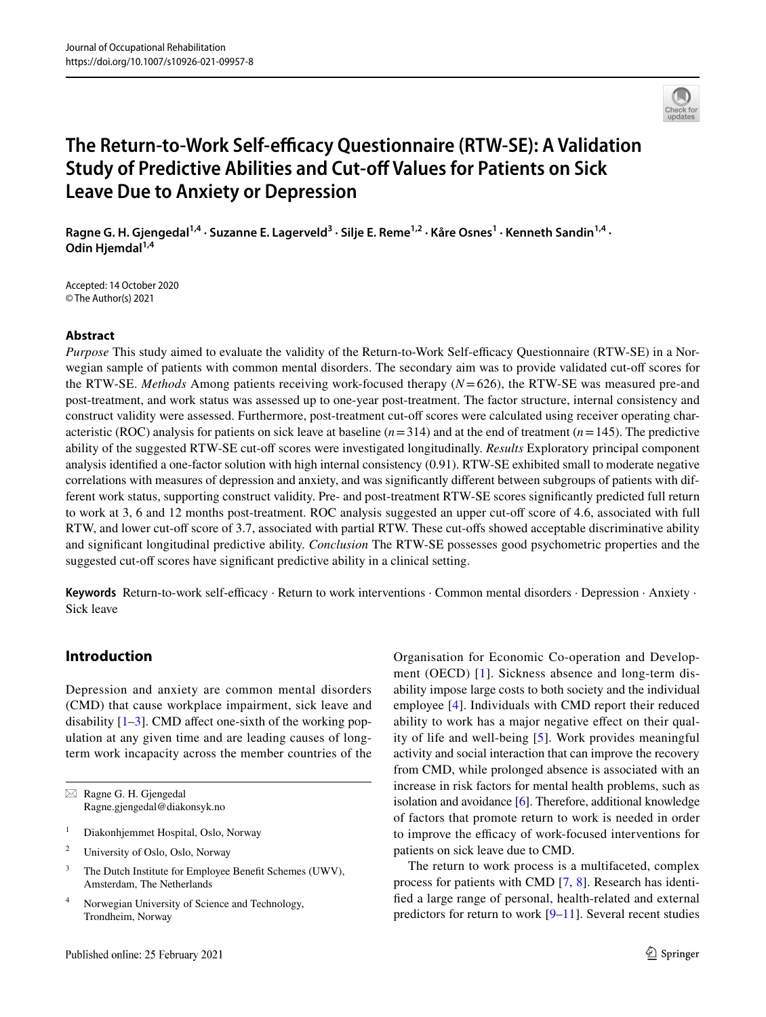

# **The Return-to-Work Self-efficacy Questionnaire (RTW-SE): A Validation Study of Predictive Abilities and Cut‑of Values for Patients on Sick Leave Due to Anxiety or Depression**

Ragne G. H. Gjengedal<sup>1,4</sup> · Suzanne E. Lagerveld<sup>3</sup> · Silje E. Reme<sup>1,2</sup> · Kåre Osnes<sup>1</sup> · Kenneth Sandin<sup>1,4</sup> · Odin Hjemdal<sup>1,4</sup>

Accepted: 14 October 2020 © The Author(s) 2021

# **Abstract**

*Purpose* This study aimed to evaluate the validity of the Return-to-Work Self-efficacy Questionnaire (RTW-SE) in a Norwegian sample of patients with common mental disorders. The secondary aim was to provide validated cut-of scores for the RTW-SE. *Methods* Among patients receiving work-focused therapy (*N*=626), the RTW-SE was measured pre-and post-treatment, and work status was assessed up to one-year post-treatment. The factor structure, internal consistency and construct validity were assessed. Furthermore, post-treatment cut-of scores were calculated using receiver operating characteristic (ROC) analysis for patients on sick leave at baseline  $(n=314)$  and at the end of treatment  $(n=145)$ . The predictive ability of the suggested RTW-SE cut-off scores were investigated longitudinally. *Results* Exploratory principal component analysis identifed a one-factor solution with high internal consistency (0.91). RTW-SE exhibited small to moderate negative correlations with measures of depression and anxiety, and was signifcantly diferent between subgroups of patients with different work status, supporting construct validity. Pre- and post-treatment RTW-SE scores signifcantly predicted full return to work at 3, 6 and 12 months post-treatment. ROC analysis suggested an upper cut-of score of 4.6, associated with full RTW, and lower cut-of score of 3.7, associated with partial RTW. These cut-ofs showed acceptable discriminative ability and signifcant longitudinal predictive ability. *Conclusion* The RTW-SE possesses good psychometric properties and the suggested cut-off scores have significant predictive ability in a clinical setting.

Keywords Return-to-work self-efficacy · Return to work interventions · Common mental disorders · Depression · Anxiety · Sick leave

# **Introduction**

Depression and anxiety are common mental disorders (CMD) that cause workplace impairment, sick leave and disability  $[1-3]$  $[1-3]$ . CMD affect one-sixth of the working population at any given time and are leading causes of longterm work incapacity across the member countries of the

- <sup>1</sup> Diakonhjemmet Hospital, Oslo, Norway
- <sup>2</sup> University of Oslo, Oslo, Norway
- <sup>3</sup> The Dutch Institute for Employee Benefit Schemes (UWV), Amsterdam, The Netherlands
- <sup>4</sup> Norwegian University of Science and Technology, Trondheim, Norway

Organisation for Economic Co-operation and Development (OECD) [[1](#page-8-0)]. Sickness absence and long-term disability impose large costs to both society and the individual employee [[4\]](#page-8-2). Individuals with CMD report their reduced ability to work has a major negative efect on their quality of life and well-being [[5](#page-8-3)]. Work provides meaningful activity and social interaction that can improve the recovery from CMD, while prolonged absence is associated with an increase in risk factors for mental health problems, such as isolation and avoidance [[6\]](#page-8-4). Therefore, additional knowledge of factors that promote return to work is needed in order to improve the efficacy of work-focused interventions for patients on sick leave due to CMD.

The return to work process is a multifaceted, complex process for patients with CMD [[7,](#page-8-5) [8](#page-8-6)]. Research has identifed a large range of personal, health-related and external predictors for return to work [\[9–](#page-8-7)[11\]](#page-8-8). Several recent studies

 $\boxtimes$  Ragne G. H. Gjengedal Ragne.gjengedal@diakonsyk.no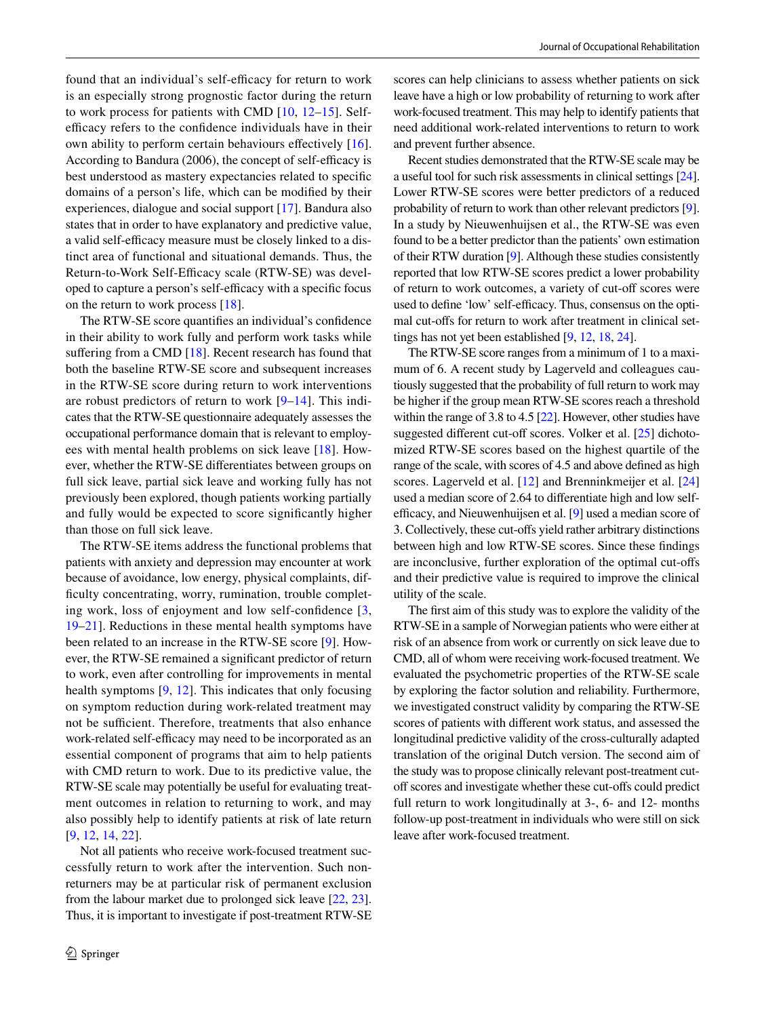found that an individual's self-efficacy for return to work is an especially strong prognostic factor during the return to work process for patients with CMD [[10](#page-8-9), [12–](#page-8-10)[15](#page-8-11)]. Selfefficacy refers to the confidence individuals have in their own ability to perform certain behaviours efectively [\[16](#page-8-12)]. According to Bandura (2006), the concept of self-efficacy is best understood as mastery expectancies related to specifc domains of a person's life, which can be modifed by their experiences, dialogue and social support [[17\]](#page-8-13). Bandura also states that in order to have explanatory and predictive value, a valid self-efficacy measure must be closely linked to a distinct area of functional and situational demands. Thus, the Return-to-Work Self-Efficacy scale (RTW-SE) was developed to capture a person's self-efficacy with a specific focus on the return to work process [\[18](#page-8-14)].

The RTW-SE score quantifes an individual's confdence in their ability to work fully and perform work tasks while suffering from a CMD  $[18]$  $[18]$ . Recent research has found that both the baseline RTW-SE score and subsequent increases in the RTW-SE score during return to work interventions are robust predictors of return to work  $[9-14]$  $[9-14]$  $[9-14]$ . This indicates that the RTW-SE questionnaire adequately assesses the occupational performance domain that is relevant to employees with mental health problems on sick leave [\[18\]](#page-8-14). However, whether the RTW-SE diferentiates between groups on full sick leave, partial sick leave and working fully has not previously been explored, though patients working partially and fully would be expected to score signifcantly higher than those on full sick leave.

The RTW-SE items address the functional problems that patients with anxiety and depression may encounter at work because of avoidance, low energy, physical complaints, difficulty concentrating, worry, rumination, trouble completing work, loss of enjoyment and low self-confdence [\[3,](#page-8-1) [19](#page-8-16)[–21](#page-8-17)]. Reductions in these mental health symptoms have been related to an increase in the RTW-SE score [\[9](#page-8-7)]. However, the RTW-SE remained a signifcant predictor of return to work, even after controlling for improvements in mental health symptoms [[9,](#page-8-7) [12](#page-8-10)]. This indicates that only focusing on symptom reduction during work-related treatment may not be sufficient. Therefore, treatments that also enhance work-related self-efficacy may need to be incorporated as an essential component of programs that aim to help patients with CMD return to work. Due to its predictive value, the RTW-SE scale may potentially be useful for evaluating treatment outcomes in relation to returning to work, and may also possibly help to identify patients at risk of late return [\[9](#page-8-7), [12,](#page-8-10) [14,](#page-8-15) [22\]](#page-8-18).

Not all patients who receive work-focused treatment successfully return to work after the intervention. Such nonreturners may be at particular risk of permanent exclusion from the labour market due to prolonged sick leave [[22](#page-8-18), [23](#page-8-19)]. Thus, it is important to investigate if post-treatment RTW-SE

scores can help clinicians to assess whether patients on sick leave have a high or low probability of returning to work after work-focused treatment. This may help to identify patients that need additional work-related interventions to return to work and prevent further absence.

Recent studies demonstrated that the RTW-SE scale may be a useful tool for such risk assessments in clinical settings [\[24\]](#page-8-20). Lower RTW-SE scores were better predictors of a reduced probability of return to work than other relevant predictors [[9\]](#page-8-7). In a study by Nieuwenhuijsen et al., the RTW-SE was even found to be a better predictor than the patients' own estimation of their RTW duration [\[9\]](#page-8-7). Although these studies consistently reported that low RTW-SE scores predict a lower probability of return to work outcomes, a variety of cut-off scores were used to define 'low' self-efficacy. Thus, consensus on the optimal cut-ofs for return to work after treatment in clinical settings has not yet been established [\[9](#page-8-7), [12,](#page-8-10) [18](#page-8-14), [24\]](#page-8-20).

The RTW-SE score ranges from a minimum of 1 to a maximum of 6. A recent study by Lagerveld and colleagues cautiously suggested that the probability of full return to work may be higher if the group mean RTW-SE scores reach a threshold within the range of 3.8 to 4.5 [\[22](#page-8-18)]. However, other studies have suggested different cut-off scores. Volker et al. [\[25\]](#page-8-21) dichotomized RTW-SE scores based on the highest quartile of the range of the scale, with scores of 4.5 and above defned as high scores. Lagerveld et al. [[12\]](#page-8-10) and Brenninkmeijer et al. [[24\]](#page-8-20) used a median score of 2.64 to diferentiate high and low self-efficacy, and Nieuwenhuijsen et al. [[9\]](#page-8-7) used a median score of 3. Collectively, these cut-ofs yield rather arbitrary distinctions between high and low RTW-SE scores. Since these fndings are inconclusive, further exploration of the optimal cut-ofs and their predictive value is required to improve the clinical utility of the scale.

The frst aim of this study was to explore the validity of the RTW-SE in a sample of Norwegian patients who were either at risk of an absence from work or currently on sick leave due to CMD, all of whom were receiving work-focused treatment. We evaluated the psychometric properties of the RTW-SE scale by exploring the factor solution and reliability. Furthermore, we investigated construct validity by comparing the RTW-SE scores of patients with diferent work status, and assessed the longitudinal predictive validity of the cross-culturally adapted translation of the original Dutch version. The second aim of the study was to propose clinically relevant post-treatment cutoff scores and investigate whether these cut-offs could predict full return to work longitudinally at 3-, 6- and 12- months follow-up post-treatment in individuals who were still on sick leave after work-focused treatment.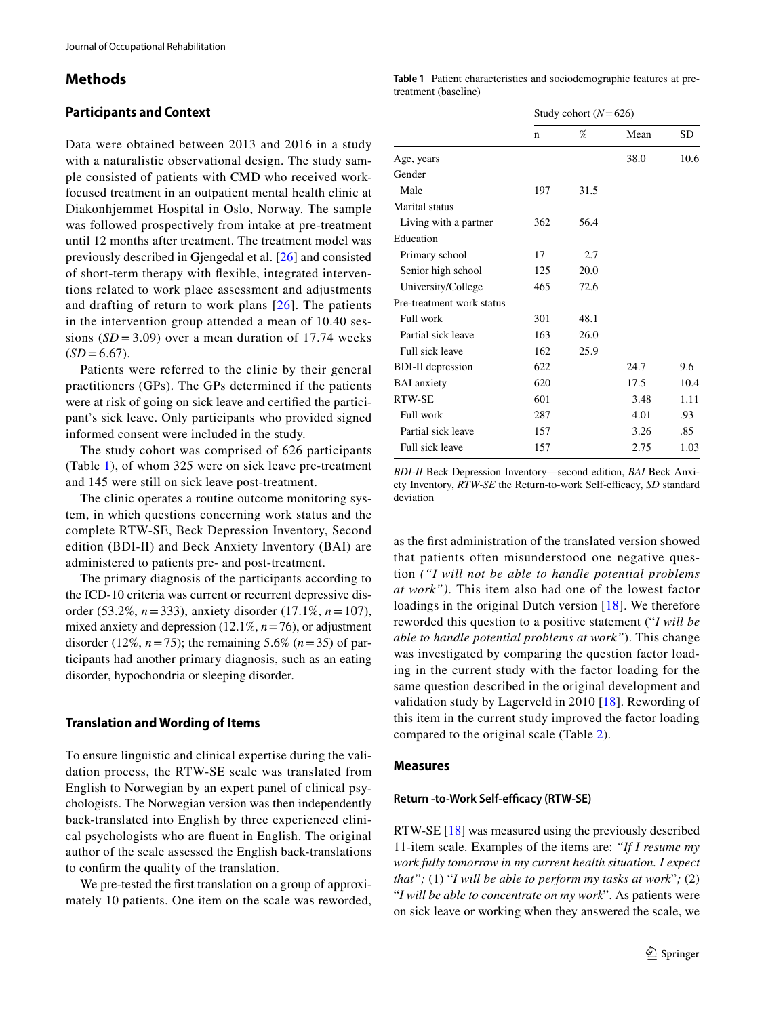### **Methods**

## **Participants and Context**

Data were obtained between 2013 and 2016 in a study with a naturalistic observational design. The study sample consisted of patients with CMD who received workfocused treatment in an outpatient mental health clinic at Diakonhjemmet Hospital in Oslo, Norway. The sample was followed prospectively from intake at pre-treatment until 12 months after treatment. The treatment model was previously described in Gjengedal et al. [[26](#page-8-22)] and consisted of short-term therapy with fexible, integrated interventions related to work place assessment and adjustments and drafting of return to work plans [\[26](#page-8-22)]. The patients in the intervention group attended a mean of 10.40 sessions  $(SD = 3.09)$  over a mean duration of 17.74 weeks  $(SD = 6.67)$ .

Patients were referred to the clinic by their general practitioners (GPs). The GPs determined if the patients were at risk of going on sick leave and certifed the participant's sick leave. Only participants who provided signed informed consent were included in the study.

The study cohort was comprised of 626 participants (Table [1\)](#page-2-0), of whom 325 were on sick leave pre-treatment and 145 were still on sick leave post-treatment.

The clinic operates a routine outcome monitoring system, in which questions concerning work status and the complete RTW-SE, Beck Depression Inventory, Second edition (BDI-II) and Beck Anxiety Inventory (BAI) are administered to patients pre- and post-treatment.

The primary diagnosis of the participants according to the ICD-10 criteria was current or recurrent depressive disorder (53.2%, *n*=333), anxiety disorder (17.1%, *n*=107), mixed anxiety and depression (12.1%, *n*=76), or adjustment disorder (12%,  $n=75$ ); the remaining 5.6% ( $n=35$ ) of participants had another primary diagnosis, such as an eating disorder, hypochondria or sleeping disorder.

#### **Translation and Wording of Items**

To ensure linguistic and clinical expertise during the validation process, the RTW-SE scale was translated from English to Norwegian by an expert panel of clinical psychologists. The Norwegian version was then independently back-translated into English by three experienced clinical psychologists who are fuent in English. The original author of the scale assessed the English back-translations to confrm the quality of the translation.

We pre-tested the frst translation on a group of approximately 10 patients. One item on the scale was reworded,

<span id="page-2-0"></span>

| Table 1 Patient characteristics and sociodemographic features at pre- |  |  |
|-----------------------------------------------------------------------|--|--|
| treatment (baseline)                                                  |  |  |

|                           | Study cohort $(N=626)$ |      |      |      |
|---------------------------|------------------------|------|------|------|
|                           | n                      | %    | Mean | SD   |
| Age, years                |                        |      | 38.0 | 10.6 |
| Gender                    |                        |      |      |      |
| Male                      | 197                    | 31.5 |      |      |
| Marital status            |                        |      |      |      |
| Living with a partner     | 362                    | 56.4 |      |      |
| Education                 |                        |      |      |      |
| Primary school            | 17                     | 2.7  |      |      |
| Senior high school        | 125                    | 20.0 |      |      |
| University/College        | 465                    | 72.6 |      |      |
| Pre-treatment work status |                        |      |      |      |
| Full work                 | 301                    | 48.1 |      |      |
| Partial sick leave        | 163                    | 26.0 |      |      |
| Full sick leave           | 162                    | 25.9 |      |      |
| <b>BDI-II</b> depression  | 622                    |      | 24.7 | 9.6  |
| <b>BAI</b> anxiety        | 620                    |      | 17.5 | 10.4 |
| RTW-SE                    | 601                    |      | 3.48 | 1.11 |
| Full work                 | 287                    |      | 4.01 | .93  |
| Partial sick leave        | 157                    |      | 3.26 | .85  |
| Full sick leave           | 157                    |      | 2.75 | 1.03 |
|                           |                        |      |      |      |

*BDI-II* Beck Depression Inventory—second edition, *BAI* Beck Anxiety Inventory, RTW-SE the Return-to-work Self-efficacy, SD standard deviation

as the frst administration of the translated version showed that patients often misunderstood one negative question *("I will not be able to handle potential problems at work")*. This item also had one of the lowest factor loadings in the original Dutch version [[18\]](#page-8-14). We therefore reworded this question to a positive statement ("*I will be able to handle potential problems at work"*). This change was investigated by comparing the question factor loading in the current study with the factor loading for the same question described in the original development and validation study by Lagerveld in 2010 [[18](#page-8-14)]. Rewording of this item in the current study improved the factor loading compared to the original scale (Table [2](#page-3-0)).

#### **Measures**

#### **Return -to-Work Self-efficacy (RTW-SE)**

RTW-SE [[18\]](#page-8-14) was measured using the previously described 11-item scale. Examples of the items are: *"If I resume my work fully tomorrow in my current health situation. I expect that";* (1) "*I will be able to perform my tasks at work*"*;* (2) "*I will be able to concentrate on my work*". As patients were on sick leave or working when they answered the scale, we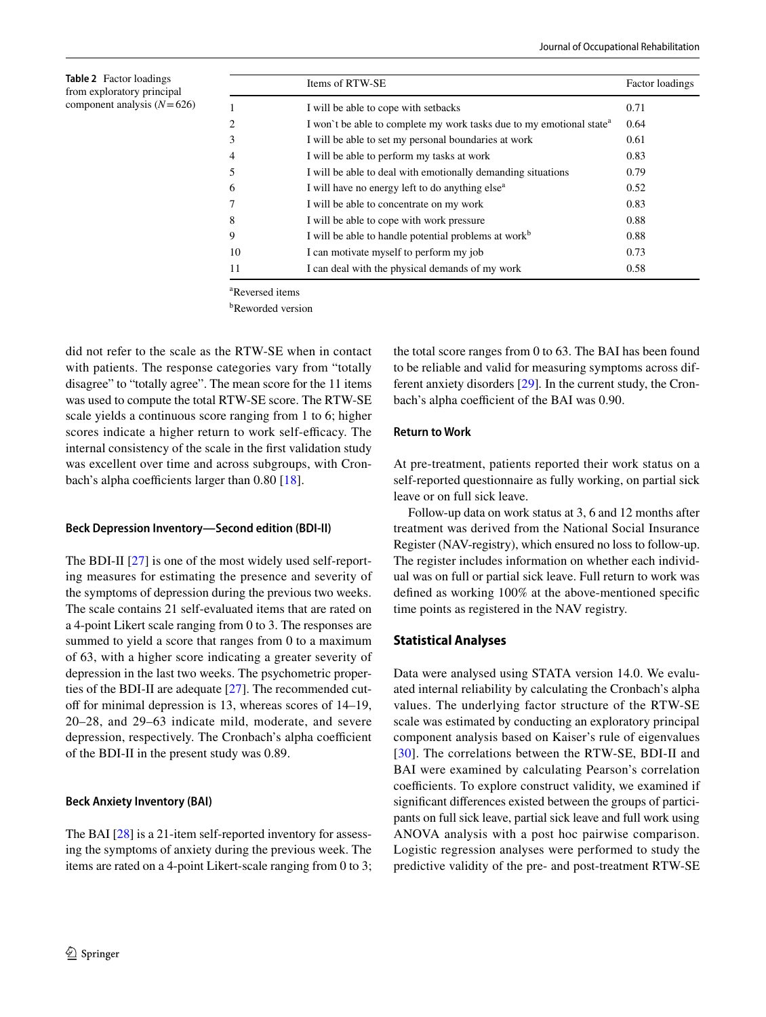<span id="page-3-0"></span>**Table 2** Factor loadings from exploratory principal component analysis (*N*=626)

|                | Items of RTW-SE                                                                  | Factor loadings |
|----------------|----------------------------------------------------------------------------------|-----------------|
| 1              | I will be able to cope with setbacks                                             | 0.71            |
| $\overline{c}$ | I won't be able to complete my work tasks due to my emotional state <sup>a</sup> | 0.64            |
| 3              | I will be able to set my personal boundaries at work                             | 0.61            |
| $\overline{4}$ | I will be able to perform my tasks at work                                       | 0.83            |
| .5             | I will be able to deal with emotionally demanding situations                     | 0.79            |
| 6              | I will have no energy left to do anything else <sup>a</sup>                      | 0.52            |
| 7              | I will be able to concentrate on my work                                         | 0.83            |
| 8              | I will be able to cope with work pressure                                        | 0.88            |
| 9              | I will be able to handle potential problems at work <sup>b</sup>                 | 0.88            |
| 10             | I can motivate myself to perform my job                                          | 0.73            |
| 11             | I can deal with the physical demands of my work                                  | 0.58            |

a Reversed items

b Reworded version

did not refer to the scale as the RTW-SE when in contact with patients. The response categories vary from "totally disagree" to "totally agree". The mean score for the 11 items was used to compute the total RTW-SE score. The RTW-SE scale yields a continuous score ranging from 1 to 6; higher scores indicate a higher return to work self-efficacy. The internal consistency of the scale in the frst validation study was excellent over time and across subgroups, with Cronbach's alpha coefficients larger than  $0.80$  [[18\]](#page-8-14).

### **Beck Depression Inventory—Second edition (BDI‑II)**

The BDI-II [[27\]](#page-8-23) is one of the most widely used self-reporting measures for estimating the presence and severity of the symptoms of depression during the previous two weeks. The scale contains 21 self-evaluated items that are rated on a 4-point Likert scale ranging from 0 to 3. The responses are summed to yield a score that ranges from 0 to a maximum of 63, with a higher score indicating a greater severity of depression in the last two weeks. The psychometric properties of the BDI-II are adequate [\[27](#page-8-23)]. The recommended cutoff for minimal depression is 13, whereas scores of 14–19, 20–28, and 29–63 indicate mild, moderate, and severe depression, respectively. The Cronbach's alpha coefficient of the BDI-II in the present study was 0.89.

#### **Beck Anxiety Inventory (BAI)**

The BAI [\[28\]](#page-8-24) is a 21-item self-reported inventory for assessing the symptoms of anxiety during the previous week. The items are rated on a 4-point Likert-scale ranging from 0 to 3; the total score ranges from 0 to 63. The BAI has been found to be reliable and valid for measuring symptoms across different anxiety disorders [[29\]](#page-8-25)*.* In the current study, the Cronbach's alpha coefficient of the BAI was 0.90.

#### **Return to Work**

At pre-treatment, patients reported their work status on a self-reported questionnaire as fully working, on partial sick leave or on full sick leave.

Follow-up data on work status at 3, 6 and 12 months after treatment was derived from the National Social Insurance Register (NAV-registry), which ensured no loss to follow-up. The register includes information on whether each individual was on full or partial sick leave. Full return to work was defned as working 100% at the above-mentioned specifc time points as registered in the NAV registry.

### **Statistical Analyses**

Data were analysed using STATA version 14.0. We evaluated internal reliability by calculating the Cronbach's alpha values. The underlying factor structure of the RTW-SE scale was estimated by conducting an exploratory principal component analysis based on Kaiser's rule of eigenvalues [[30\]](#page-8-26). The correlations between the RTW-SE, BDI-II and BAI were examined by calculating Pearson's correlation coefficients. To explore construct validity, we examined if signifcant diferences existed between the groups of participants on full sick leave, partial sick leave and full work using ANOVA analysis with a post hoc pairwise comparison. Logistic regression analyses were performed to study the predictive validity of the pre- and post-treatment RTW-SE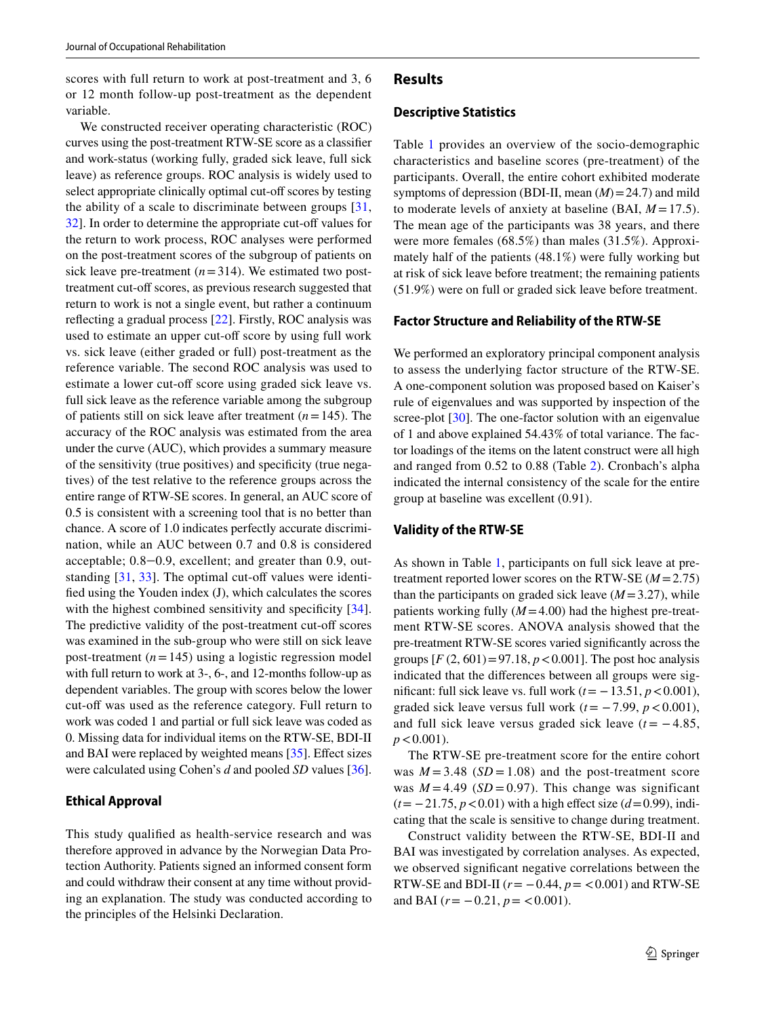scores with full return to work at post-treatment and 3, 6 or 12 month follow-up post-treatment as the dependent variable.

We constructed receiver operating characteristic (ROC) curves using the post-treatment RTW-SE score as a classifer and work-status (working fully, graded sick leave, full sick leave) as reference groups. ROC analysis is widely used to select appropriate clinically optimal cut-off scores by testing the ability of a scale to discriminate between groups [\[31,](#page-9-0) [32](#page-9-1)]. In order to determine the appropriate cut-off values for the return to work process, ROC analyses were performed on the post-treatment scores of the subgroup of patients on sick leave pre-treatment  $(n=314)$ . We estimated two posttreatment cut-off scores, as previous research suggested that return to work is not a single event, but rather a continuum refecting a gradual process [\[22](#page-8-18)]. Firstly, ROC analysis was used to estimate an upper cut-off score by using full work vs. sick leave (either graded or full) post-treatment as the reference variable. The second ROC analysis was used to estimate a lower cut-off score using graded sick leave vs. full sick leave as the reference variable among the subgroup of patients still on sick leave after treatment (*n*=145). The accuracy of the ROC analysis was estimated from the area under the curve (AUC), which provides a summary measure of the sensitivity (true positives) and specifcity (true negatives) of the test relative to the reference groups across the entire range of RTW-SE scores. In general, an AUC score of 0.5 is consistent with a screening tool that is no better than chance. A score of 1.0 indicates perfectly accurate discrimination, while an AUC between 0.7 and 0.8 is considered acceptable; 0.8‒0.9, excellent; and greater than 0.9, outstanding  $[31, 33]$  $[31, 33]$  $[31, 33]$  $[31, 33]$ . The optimal cut-off values were identifed using the Youden index (J), which calculates the scores with the highest combined sensitivity and specificity [[34](#page-9-3)]. The predictive validity of the post-treatment cut-off scores was examined in the sub-group who were still on sick leave post-treatment  $(n=145)$  using a logistic regression model with full return to work at 3-, 6-, and 12-months follow-up as dependent variables. The group with scores below the lower cut-off was used as the reference category. Full return to work was coded 1 and partial or full sick leave was coded as 0. Missing data for individual items on the RTW-SE, BDI-II and BAI were replaced by weighted means  $[35]$  $[35]$ . Effect sizes were calculated using Cohen's *d* and pooled *SD* values [\[36](#page-9-5)].

## **Ethical Approval**

This study qualifed as health-service research and was therefore approved in advance by the Norwegian Data Protection Authority. Patients signed an informed consent form and could withdraw their consent at any time without providing an explanation. The study was conducted according to the principles of the Helsinki Declaration.

## **Results**

#### **Descriptive Statistics**

Table [1](#page-2-0) provides an overview of the socio-demographic characteristics and baseline scores (pre-treatment) of the participants. Overall, the entire cohort exhibited moderate symptoms of depression (BDI-II, mean  $(M)$  = 24.7) and mild to moderate levels of anxiety at baseline (BAI, *M* =17.5). The mean age of the participants was 38 years, and there were more females (68.5%) than males (31.5%). Approximately half of the patients (48.1%) were fully working but at risk of sick leave before treatment; the remaining patients (51.9%) were on full or graded sick leave before treatment.

#### **Factor Structure and Reliability of the RTW‑SE**

We performed an exploratory principal component analysis to assess the underlying factor structure of the RTW-SE. A one-component solution was proposed based on Kaiser's rule of eigenvalues and was supported by inspection of the scree-plot [[30](#page-8-26)]. The one-factor solution with an eigenvalue of 1 and above explained 54.43% of total variance. The factor loadings of the items on the latent construct were all high and ranged from 0.52 to 0.88 (Table [2](#page-3-0)). Cronbach's alpha indicated the internal consistency of the scale for the entire group at baseline was excellent (0.91).

#### **Validity of the RTW‑SE**

As shown in Table [1](#page-2-0), participants on full sick leave at pretreatment reported lower scores on the RTW-SE (*M*=2.75) than the participants on graded sick leave  $(M=3.27)$ , while patients working fully (*M*=4.00) had the highest pre-treatment RTW-SE scores. ANOVA analysis showed that the pre-treatment RTW-SE scores varied signifcantly across the groups  $[F(2, 601) = 97.18, p < 0.001]$ . The post hoc analysis indicated that the diferences between all groups were significant: full sick leave vs. full work  $(t=-13.51, p<0.001)$ , graded sick leave versus full work  $(t = -7.99, p < 0.001)$ , and full sick leave versus graded sick leave  $(t = -4.85,$  $p < 0.001$ ).

The RTW-SE pre-treatment score for the entire cohort was  $M = 3.48$  ( $SD = 1.08$ ) and the post-treatment score was  $M = 4.49$  (*SD* = 0.97). This change was significant (*t*= −21.75, *p*<0.01) with a high efect size (*d*=0.99), indicating that the scale is sensitive to change during treatment.

Construct validity between the RTW-SE, BDI-II and BAI was investigated by correlation analyses. As expected, we observed signifcant negative correlations between the RTW-SE and BDI-II  $(r = -0.44, p = 0.001)$  and RTW-SE and BAI  $(r = -0.21, p = <0.001)$ .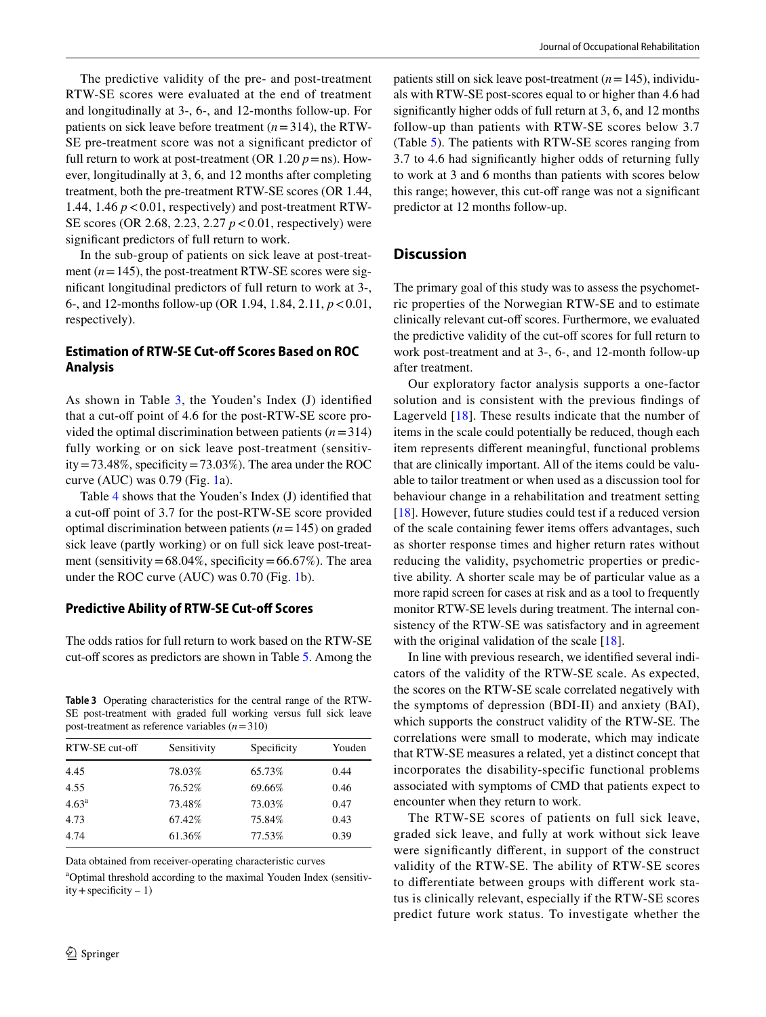The predictive validity of the pre- and post-treatment RTW-SE scores were evaluated at the end of treatment and longitudinally at 3-, 6-, and 12-months follow-up. For patients on sick leave before treatment (*n*=314), the RTW-SE pre-treatment score was not a signifcant predictor of full return to work at post-treatment (OR  $1.20 p = ns$ ). However, longitudinally at 3, 6, and 12 months after completing treatment, both the pre-treatment RTW-SE scores (OR 1.44, 1.44, 1.46  $p < 0.01$ , respectively) and post-treatment RTW-SE scores (OR 2.68, 2.23, 2.27 *p*<0.01, respectively) were signifcant predictors of full return to work.

In the sub-group of patients on sick leave at post-treatment  $(n=145)$ , the post-treatment RTW-SE scores were signifcant longitudinal predictors of full return to work at 3-, 6-, and 12-months follow-up (OR 1.94, 1.84, 2.11, *p*<0.01, respectively).

# **Estimation of RTW-SE Cut-off Scores Based on ROC Analysis**

As shown in Table [3](#page-5-0), the Youden's Index (J) identifed that a cut-off point of 4.6 for the post-RTW-SE score provided the optimal discrimination between patients (*n*=314) fully working or on sick leave post-treatment (sensitivity = 73.48%, specificity = 73.03%). The area under the ROC curve  $(AUC)$  was 0.79 (Fig. [1a](#page-6-0)).

Table [4](#page-7-0) shows that the Youden's Index (J) identifed that a cut-off point of 3.7 for the post-RTW-SE score provided optimal discrimination between patients (*n*=145) on graded sick leave (partly working) or on full sick leave post-treatment (sensitivity =  $68.04\%$ , specificity =  $66.67\%$ ). The area under the ROC curve (AUC) was 0.70 (Fig. [1b](#page-6-0)).

## **Predictive Ability of RTW‑SE Cut‑of Scores**

The odds ratios for full return to work based on the RTW-SE cut-off scores as predictors are shown in Table [5](#page-7-1). Among the

<span id="page-5-0"></span>**Table 3** Operating characteristics for the central range of the RTW-SE post-treatment with graded full working versus full sick leave post-treatment as reference variables (*n*=310)

| RTW-SE cut-off    | Sensitivity | Specificity | Youden |
|-------------------|-------------|-------------|--------|
| 4.45              | 78.03%      | 65.73%      | 0.44   |
| 4.55              | 76.52%      | 69.66%      | 0.46   |
| 4.63 <sup>a</sup> | 73.48%      | 73.03%      | 0.47   |
| 4.73              | 67.42%      | 75.84%      | 0.43   |
| 4.74              | 61.36%      | 77.53%      | 0.39   |
|                   |             |             |        |

Data obtained from receiver-operating characteristic curves

a Optimal threshold according to the maximal Youden Index (sensitiv $ity + specificity - 1)$ 

patients still on sick leave post-treatment (*n*=145), individuals with RTW-SE post-scores equal to or higher than 4.6 had signifcantly higher odds of full return at 3, 6, and 12 months follow-up than patients with RTW-SE scores below 3.7 (Table [5](#page-7-1)). The patients with RTW-SE scores ranging from 3.7 to 4.6 had signifcantly higher odds of returning fully to work at 3 and 6 months than patients with scores below this range; however, this cut-off range was not a significant predictor at 12 months follow-up.

# **Discussion**

The primary goal of this study was to assess the psychometric properties of the Norwegian RTW-SE and to estimate clinically relevant cut-of scores. Furthermore, we evaluated the predictive validity of the cut-off scores for full return to work post-treatment and at 3-, 6-, and 12-month follow-up after treatment.

Our exploratory factor analysis supports a one-factor solution and is consistent with the previous fndings of Lagerveld [\[18\]](#page-8-14). These results indicate that the number of items in the scale could potentially be reduced, though each item represents diferent meaningful, functional problems that are clinically important. All of the items could be valuable to tailor treatment or when used as a discussion tool for behaviour change in a rehabilitation and treatment setting [[18\]](#page-8-14). However, future studies could test if a reduced version of the scale containing fewer items offers advantages, such as shorter response times and higher return rates without reducing the validity, psychometric properties or predictive ability. A shorter scale may be of particular value as a more rapid screen for cases at risk and as a tool to frequently monitor RTW-SE levels during treatment. The internal consistency of the RTW-SE was satisfactory and in agreement with the original validation of the scale [\[18](#page-8-14)].

In line with previous research, we identifed several indicators of the validity of the RTW-SE scale. As expected, the scores on the RTW-SE scale correlated negatively with the symptoms of depression (BDI-II) and anxiety (BAI), which supports the construct validity of the RTW-SE. The correlations were small to moderate, which may indicate that RTW-SE measures a related, yet a distinct concept that incorporates the disability-specific functional problems associated with symptoms of CMD that patients expect to encounter when they return to work.

The RTW-SE scores of patients on full sick leave, graded sick leave, and fully at work without sick leave were signifcantly diferent, in support of the construct validity of the RTW-SE. The ability of RTW-SE scores to diferentiate between groups with diferent work status is clinically relevant, especially if the RTW-SE scores predict future work status. To investigate whether the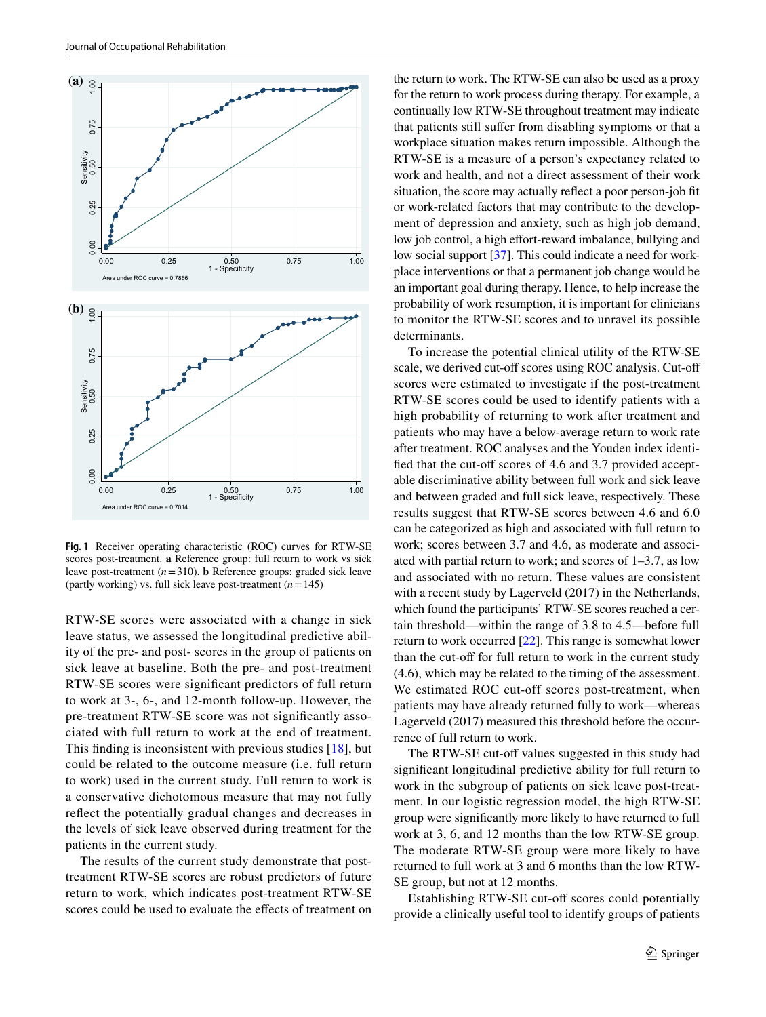

<span id="page-6-0"></span>**Fig. 1** Receiver operating characteristic (ROC) curves for RTW-SE scores post-treatment. **a** Reference group: full return to work vs sick leave post-treatment  $(n=310)$ . **b** Reference groups: graded sick leave (partly working) vs. full sick leave post-treatment (*n*=145)

RTW-SE scores were associated with a change in sick leave status, we assessed the longitudinal predictive ability of the pre- and post- scores in the group of patients on sick leave at baseline. Both the pre- and post-treatment RTW-SE scores were signifcant predictors of full return to work at 3-, 6-, and 12-month follow-up. However, the pre-treatment RTW-SE score was not signifcantly associated with full return to work at the end of treatment. This fnding is inconsistent with previous studies [\[18\]](#page-8-14), but could be related to the outcome measure (i.e. full return to work) used in the current study. Full return to work is a conservative dichotomous measure that may not fully refect the potentially gradual changes and decreases in the levels of sick leave observed during treatment for the patients in the current study.

The results of the current study demonstrate that posttreatment RTW-SE scores are robust predictors of future return to work, which indicates post-treatment RTW-SE scores could be used to evaluate the efects of treatment on the return to work. The RTW-SE can also be used as a proxy for the return to work process during therapy. For example, a continually low RTW-SE throughout treatment may indicate that patients still sufer from disabling symptoms or that a workplace situation makes return impossible. Although the RTW-SE is a measure of a person's expectancy related to work and health, and not a direct assessment of their work situation, the score may actually refect a poor person-job ft or work-related factors that may contribute to the development of depression and anxiety, such as high job demand, low job control, a high effort-reward imbalance, bullying and low social support [\[37](#page-9-6)]. This could indicate a need for workplace interventions or that a permanent job change would be an important goal during therapy. Hence, to help increase the probability of work resumption, it is important for clinicians to monitor the RTW-SE scores and to unravel its possible determinants.

To increase the potential clinical utility of the RTW-SE scale, we derived cut-off scores using ROC analysis. Cut-off scores were estimated to investigate if the post-treatment RTW-SE scores could be used to identify patients with a high probability of returning to work after treatment and patients who may have a below-average return to work rate after treatment. ROC analyses and the Youden index identified that the cut-off scores of 4.6 and 3.7 provided acceptable discriminative ability between full work and sick leave and between graded and full sick leave, respectively. These results suggest that RTW-SE scores between 4.6 and 6.0 can be categorized as high and associated with full return to work; scores between 3.7 and 4.6, as moderate and associated with partial return to work; and scores of 1–3.7, as low and associated with no return. These values are consistent with a recent study by Lagerveld (2017) in the Netherlands, which found the participants' RTW-SE scores reached a certain threshold—within the range of 3.8 to 4.5—before full return to work occurred [[22\]](#page-8-18). This range is somewhat lower than the cut-off for full return to work in the current study (4.6), which may be related to the timing of the assessment. We estimated ROC cut-off scores post-treatment, when patients may have already returned fully to work—whereas Lagerveld (2017) measured this threshold before the occurrence of full return to work.

The RTW-SE cut-off values suggested in this study had signifcant longitudinal predictive ability for full return to work in the subgroup of patients on sick leave post-treatment. In our logistic regression model, the high RTW-SE group were signifcantly more likely to have returned to full work at 3, 6, and 12 months than the low RTW-SE group. The moderate RTW-SE group were more likely to have returned to full work at 3 and 6 months than the low RTW-SE group, but not at 12 months.

Establishing RTW-SE cut-off scores could potentially provide a clinically useful tool to identify groups of patients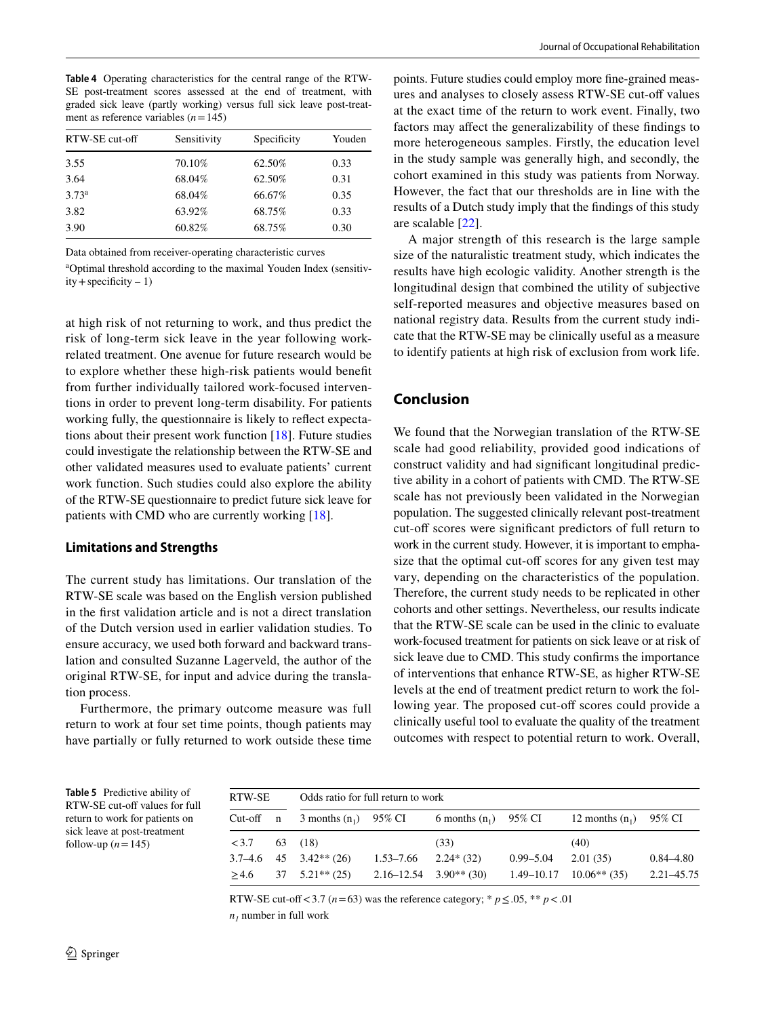<span id="page-7-0"></span>**Table 4** Operating characteristics for the central range of the RTW-SE post-treatment scores assessed at the end of treatment, with graded sick leave (partly working) versus full sick leave post-treatment as reference variables (*n*=145)

| RTW-SE cut-off    | Sensitivity<br>Specificity |        | Youden |  |
|-------------------|----------------------------|--------|--------|--|
| 3.55              | 70.10%                     | 62.50% | 0.33   |  |
| 3.64              | 68.04%                     | 62.50% | 0.31   |  |
| 3.73 <sup>a</sup> | 68.04%                     | 66.67% | 0.35   |  |
| 3.82              | 63.92%                     | 68.75% | 0.33   |  |
| 3.90              | 60.82%                     | 68.75% | 0.30   |  |

Data obtained from receiver-operating characteristic curves

a Optimal threshold according to the maximal Youden Index (sensitiv $ity + specificity - 1)$ 

at high risk of not returning to work, and thus predict the risk of long-term sick leave in the year following workrelated treatment. One avenue for future research would be to explore whether these high-risk patients would beneft from further individually tailored work-focused interventions in order to prevent long-term disability. For patients working fully, the questionnaire is likely to refect expectations about their present work function [[18\]](#page-8-14). Future studies could investigate the relationship between the RTW-SE and other validated measures used to evaluate patients' current work function. Such studies could also explore the ability of the RTW-SE questionnaire to predict future sick leave for patients with CMD who are currently working [[18\]](#page-8-14).

#### **Limitations and Strengths**

The current study has limitations. Our translation of the RTW-SE scale was based on the English version published in the frst validation article and is not a direct translation of the Dutch version used in earlier validation studies. To ensure accuracy, we used both forward and backward translation and consulted Suzanne Lagerveld, the author of the original RTW-SE, for input and advice during the translation process.

Furthermore, the primary outcome measure was full return to work at four set time points, though patients may have partially or fully returned to work outside these time points. Future studies could employ more fne-grained measures and analyses to closely assess RTW-SE cut-of values at the exact time of the return to work event. Finally, two factors may afect the generalizability of these fndings to more heterogeneous samples. Firstly, the education level in the study sample was generally high, and secondly, the cohort examined in this study was patients from Norway. However, the fact that our thresholds are in line with the results of a Dutch study imply that the fndings of this study are scalable [\[22](#page-8-18)].

A major strength of this research is the large sample size of the naturalistic treatment study, which indicates the results have high ecologic validity. Another strength is the longitudinal design that combined the utility of subjective self-reported measures and objective measures based on national registry data. Results from the current study indicate that the RTW-SE may be clinically useful as a measure to identify patients at high risk of exclusion from work life.

# **Conclusion**

We found that the Norwegian translation of the RTW-SE scale had good reliability, provided good indications of construct validity and had signifcant longitudinal predictive ability in a cohort of patients with CMD. The RTW-SE scale has not previously been validated in the Norwegian population. The suggested clinically relevant post-treatment cut-off scores were significant predictors of full return to work in the current study. However, it is important to emphasize that the optimal cut-off scores for any given test may vary, depending on the characteristics of the population. Therefore, the current study needs to be replicated in other cohorts and other settings. Nevertheless, our results indicate that the RTW-SE scale can be used in the clinic to evaluate work-focused treatment for patients on sick leave or at risk of sick leave due to CMD. This study confrms the importance of interventions that enhance RTW-SE, as higher RTW-SE levels at the end of treatment predict return to work the following year. The proposed cut-off scores could provide a clinically useful tool to evaluate the quality of the treatment outcomes with respect to potential return to work. Overall,

<span id="page-7-1"></span>**Table 5** Predictive ability of RTW-SE cut-off values for full return to work for patients on sick leave at post-treatment follow-up  $(n=145)$ 

| RTW-SE<br>Odds ratio for full return to work |  |                              |               |                              |               |                               |               |
|----------------------------------------------|--|------------------------------|---------------|------------------------------|---------------|-------------------------------|---------------|
| Cut-off n                                    |  | 3 months $(n_1)$ 95% CI      |               | 6 months $(n_1)$ 95% CI      |               | 12 months $(n_1)$ 95% CI      |               |
| <3.7                                         |  | 63 (18)                      |               | (33)                         |               | (40)                          |               |
|                                              |  | $3.7-4.6$ $45$ $3.42**$ (26) | $1.53 - 7.66$ | $2.24*(32)$                  | $0.99 - 5.04$ | 2.01(35)                      | $0.84 - 4.80$ |
| >4.6                                         |  | $37 \quad 5.21** \quad (25)$ |               | $2.16 - 12.54$ $3.90**$ (30) |               | $1.49 - 10.17$ $10.06**$ (35) | 2.21–45.75    |

RTW-SE cut-off < 3.7 ( $n=63$ ) was the reference category; \*  $p \le 0.05$ , \*\*  $p < 01$  $n_1$  number in full work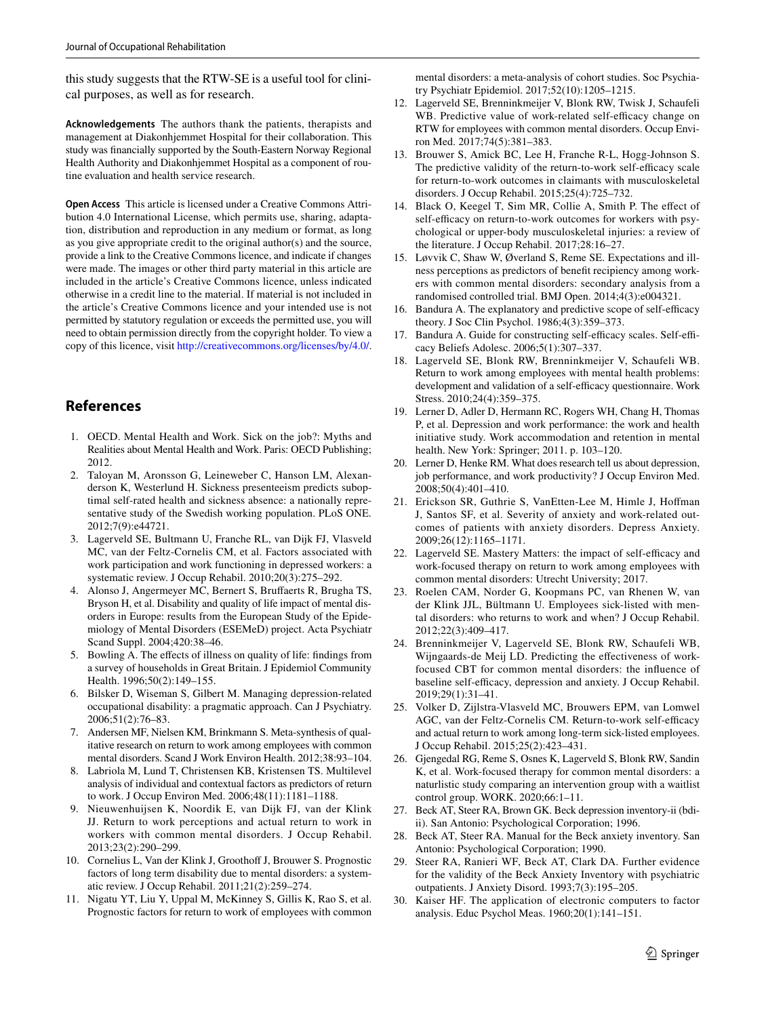this study suggests that the RTW-SE is a useful tool for clinical purposes, as well as for research.

**Acknowledgements** The authors thank the patients, therapists and management at Diakonhjemmet Hospital for their collaboration. This study was fnancially supported by the South-Eastern Norway Regional Health Authority and Diakonhjemmet Hospital as a component of routine evaluation and health service research.

**Open Access** This article is licensed under a Creative Commons Attribution 4.0 International License, which permits use, sharing, adaptation, distribution and reproduction in any medium or format, as long as you give appropriate credit to the original author(s) and the source, provide a link to the Creative Commons licence, and indicate if changes were made. The images or other third party material in this article are included in the article's Creative Commons licence, unless indicated otherwise in a credit line to the material. If material is not included in the article's Creative Commons licence and your intended use is not permitted by statutory regulation or exceeds the permitted use, you will need to obtain permission directly from the copyright holder. To view a copy of this licence, visit <http://creativecommons.org/licenses/by/4.0/>.

# **References**

- <span id="page-8-0"></span>1. OECD. Mental Health and Work. Sick on the job?: Myths and Realities about Mental Health and Work. Paris: OECD Publishing; 2012.
- 2. Taloyan M, Aronsson G, Leineweber C, Hanson LM, Alexanderson K, Westerlund H. Sickness presenteeism predicts suboptimal self-rated health and sickness absence: a nationally representative study of the Swedish working population. PLoS ONE. 2012;7(9):e44721.
- <span id="page-8-1"></span>3. Lagerveld SE, Bultmann U, Franche RL, van Dijk FJ, Vlasveld MC, van der Feltz-Cornelis CM, et al. Factors associated with work participation and work functioning in depressed workers: a systematic review. J Occup Rehabil. 2010;20(3):275–292.
- <span id="page-8-2"></span>4. Alonso J, Angermeyer MC, Bernert S, Brufaerts R, Brugha TS, Bryson H, et al. Disability and quality of life impact of mental disorders in Europe: results from the European Study of the Epidemiology of Mental Disorders (ESEMeD) project. Acta Psychiatr Scand Suppl. 2004;420:38–46.
- <span id="page-8-3"></span>5. Bowling A. The efects of illness on quality of life: fndings from a survey of households in Great Britain. J Epidemiol Community Health. 1996;50(2):149-155.
- <span id="page-8-4"></span>6. Bilsker D, Wiseman S, Gilbert M. Managing depression-related occupational disability: a pragmatic approach. Can J Psychiatry. 2006;51(2):76–83.
- <span id="page-8-5"></span>7. Andersen MF, Nielsen KM, Brinkmann S. Meta-synthesis of qualitative research on return to work among employees with common mental disorders. Scand J Work Environ Health. 2012;38:93–104.
- <span id="page-8-6"></span>8. Labriola M, Lund T, Christensen KB, Kristensen TS. Multilevel analysis of individual and contextual factors as predictors of return to work. J Occup Environ Med. 2006;48(11):1181–1188.
- <span id="page-8-7"></span>9. Nieuwenhuijsen K, Noordik E, van Dijk FJ, van der Klink JJ. Return to work perceptions and actual return to work in workers with common mental disorders. J Occup Rehabil. 2013;23(2):290–299.
- <span id="page-8-9"></span>10. Cornelius L, Van der Klink J, Groothoff J, Brouwer S. Prognostic factors of long term disability due to mental disorders: a systematic review. J Occup Rehabil. 2011;21(2):259–274.
- <span id="page-8-8"></span>11. Nigatu YT, Liu Y, Uppal M, McKinney S, Gillis K, Rao S, et al. Prognostic factors for return to work of employees with common

mental disorders: a meta-analysis of cohort studies. Soc Psychiatry Psychiatr Epidemiol. 2017;52(10):1205–1215.

- <span id="page-8-10"></span>12. Lagerveld SE, Brenninkmeijer V, Blonk RW, Twisk J, Schaufeli WB. Predictive value of work-related self-efficacy change on RTW for employees with common mental disorders. Occup Environ Med. 2017;74(5):381–383.
- 13. Brouwer S, Amick BC, Lee H, Franche R-L, Hogg-Johnson S. The predictive validity of the return-to-work self-efficacy scale for return-to-work outcomes in claimants with musculoskeletal disorders. J Occup Rehabil. 2015;25(4):725–732.
- <span id="page-8-15"></span>14. Black O, Keegel T, Sim MR, Collie A, Smith P. The efect of self-efficacy on return-to-work outcomes for workers with psychological or upper-body musculoskeletal injuries: a review of the literature. J Occup Rehabil. 2017;28:16–27.
- <span id="page-8-11"></span>15. Løvvik C, Shaw W, Øverland S, Reme SE. Expectations and illness perceptions as predictors of beneft recipiency among workers with common mental disorders: secondary analysis from a randomised controlled trial. BMJ Open. 2014;4(3):e004321.
- <span id="page-8-12"></span>16. Bandura A. The explanatory and predictive scope of self-efficacy theory. J Soc Clin Psychol. 1986;4(3):359–373.
- <span id="page-8-13"></span>17. Bandura A. Guide for constructing self-efficacy scales. Self-efficacy Beliefs Adolesc. 2006;5(1):307–337.
- <span id="page-8-14"></span>18. Lagerveld SE, Blonk RW, Brenninkmeijer V, Schaufeli WB. Return to work among employees with mental health problems: development and validation of a self-efficacy questionnaire. Work Stress. 2010;24(4):359–375.
- <span id="page-8-16"></span>19. Lerner D, Adler D, Hermann RC, Rogers WH, Chang H, Thomas P, et al. Depression and work performance: the work and health initiative study. Work accommodation and retention in mental health. New York: Springer; 2011. p. 103–120.
- 20. Lerner D, Henke RM. What does research tell us about depression, job performance, and work productivity? J Occup Environ Med. 2008;50(4):401–410.
- <span id="page-8-17"></span>21. Erickson SR, Guthrie S, VanEtten-Lee M, Himle J, Hofman J, Santos SF, et al. Severity of anxiety and work-related outcomes of patients with anxiety disorders. Depress Anxiety. 2009;26(12):1165–1171.
- <span id="page-8-18"></span>22. Lagerveld SE. Mastery Matters: the impact of self-efficacy and work-focused therapy on return to work among employees with common mental disorders: Utrecht University; 2017.
- <span id="page-8-19"></span>23. Roelen CAM, Norder G, Koopmans PC, van Rhenen W, van der Klink JJL, Bültmann U. Employees sick-listed with mental disorders: who returns to work and when? J Occup Rehabil. 2012;22(3):409–417.
- <span id="page-8-20"></span>24. Brenninkmeijer V, Lagerveld SE, Blonk RW, Schaufeli WB, Wijngaards-de Meij LD. Predicting the efectiveness of workfocused CBT for common mental disorders: the infuence of baseline self-efficacy, depression and anxiety. J Occup Rehabil. 2019;29(1):31–41.
- <span id="page-8-21"></span>25. Volker D, Zijlstra-Vlasveld MC, Brouwers EPM, van Lomwel AGC, van der Feltz-Cornelis CM. Return-to-work self-efficacy and actual return to work among long-term sick-listed employees. J Occup Rehabil. 2015;25(2):423–431.
- <span id="page-8-22"></span>26. Gjengedal RG, Reme S, Osnes K, Lagerveld S, Blonk RW, Sandin K, et al. Work-focused therapy for common mental disorders: a naturlistic study comparing an intervention group with a waitlist control group. WORK. 2020;66:1–11.
- <span id="page-8-23"></span>27. Beck AT, Steer RA, Brown GK. Beck depression inventory-ii (bdiii). San Antonio: Psychological Corporation; 1996.
- <span id="page-8-24"></span>28. Beck AT, Steer RA. Manual for the Beck anxiety inventory. San Antonio: Psychological Corporation; 1990.
- <span id="page-8-25"></span>29. Steer RA, Ranieri WF, Beck AT, Clark DA. Further evidence for the validity of the Beck Anxiety Inventory with psychiatric outpatients. J Anxiety Disord. 1993;7(3):195–205.
- <span id="page-8-26"></span>30. Kaiser HF. The application of electronic computers to factor analysis. Educ Psychol Meas. 1960;20(1):141–151.